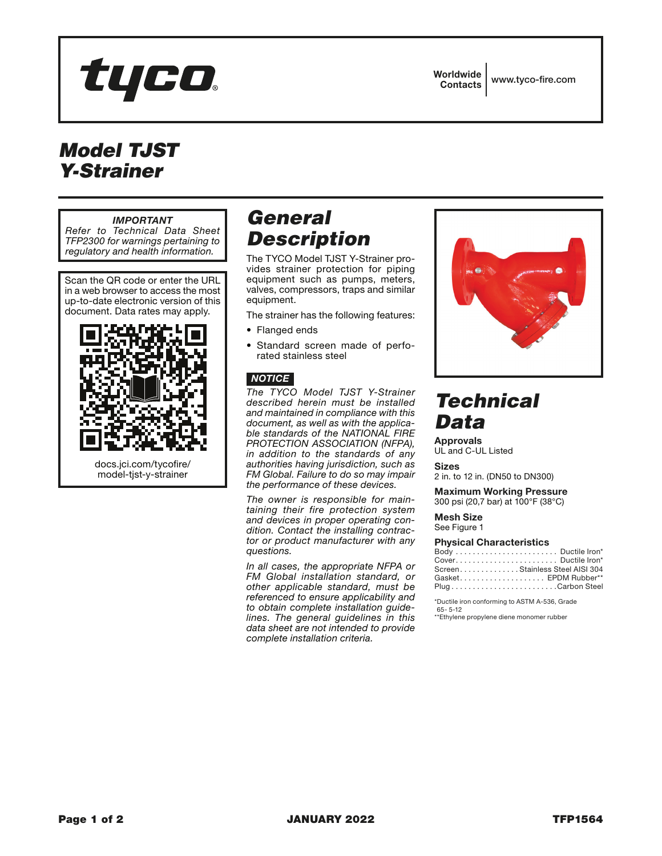

# *Model TJST Y-Strainer*

#### *IMPORTANT*

*Refer to Technical Data Sheet TFP2300 for warnings pertaining to regulatory and health information.*

Scan the QR code or enter the URL in a web browser to access the most up-to-date electronic version of this document. Data rates may apply.



### *General Description*

The TYCO Model TJST Y-Strainer provides strainer protection for piping equipment such as pumps, meters, valves, compressors, traps and similar equipment.

The strainer has the following features:

- Flanged ends
- Standard screen made of perforated stainless steel

#### *NOTICE*

*The TYCO Model TJST Y-Strainer described herein must be installed and maintained in compliance with this document, as well as with the applicable standards of the NATIONAL FIRE PROTECTION ASSOCIATION (NFPA), in addition to the standards of any authorities having jurisdiction, such as FM Global. Failure to do so may impair the performance of these devices.*

*The owner is responsible for maintaining their fire protection system and devices in proper operating condition. Contact the installing contractor or product manufacturer with any questions.*

*In all cases, the appropriate NFPA or FM Global installation standard, or other applicable standard, must be referenced to ensure applicability and to obtain complete installation guidelines. The general guidelines in this data sheet are not intended to provide complete installation criteria.*



# *Technical Data*

Approvals UL and C-UL Listed

Sizes

2 in. to 12 in. (DN50 to DN300)

Maximum Working Pressure 300 psi (20,7 bar) at 100°F (38°C)

Mesh Size See Figure 1

#### Physical Characteristics

| ScreenStainless Steel AISI 304 |
|--------------------------------|
| Gasket EPDM Rubber**           |
| PlugCarbon Steel               |

\*Ductile iron conforming to ASTM A-536, Grade 65- 5-12

\*\*Ethylene propylene diene monomer rubber